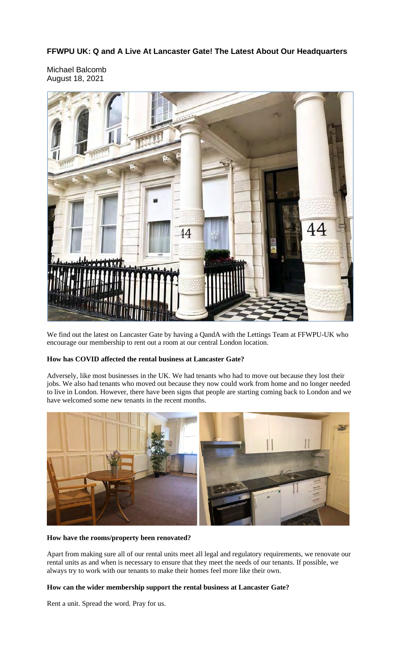**FFWPU UK: Q and A Live At Lancaster Gate! The Latest About Our Headquarters**

Michael Balcomb August 18, 2021



We find out the latest on Lancaster Gate by having a QandA with the Lettings Team at FFWPU-UK who encourage our membership to rent out a room at our central London location.

# **How has COVID affected the rental business at Lancaster Gate?**

Adversely, like most businesses in the UK. We had tenants who had to move out because they lost their jobs. We also had tenants who moved out because they now could work from home and no longer needed to live in London. However, there have been signs that people are starting coming back to London and we have welcomed some new tenants in the recent months.



# **How have the rooms/property been renovated?**

Apart from making sure all of our rental units meet all legal and regulatory requirements, we renovate our rental units as and when is necessary to ensure that they meet the needs of our tenants. If possible, we always try to work with our tenants to make their homes feel more like their own.

# **How can the wider membership support the rental business at Lancaster Gate?**

Rent a unit. Spread the word. Pray for us.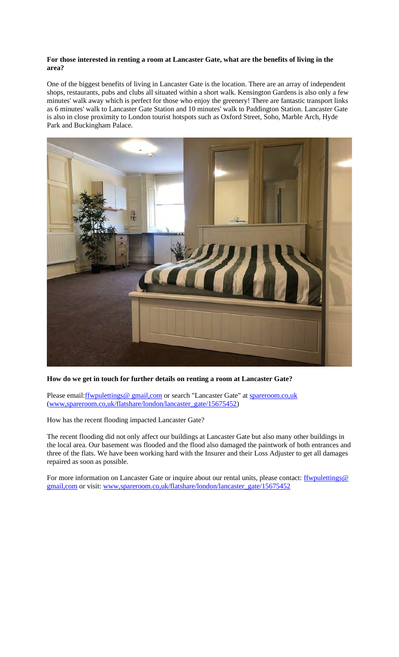# **For those interested in renting a room at Lancaster Gate, what are the benefits of living in the area?**

One of the biggest benefits of living in Lancaster Gate is the location. There are an array of independent shops, restaurants, pubs and clubs all situated within a short walk. Kensington Gardens is also only a few minutes' walk away which is perfect for those who enjoy the greenery! There are fantastic transport links as 6 minutes' walk to Lancaster Gate Station and 10 minutes' walk to Paddington Station. Lancaster Gate is also in close proximity to London tourist hotspots such as Oxford Street, Soho, Marble Arch, Hyde Park and Buckingham Palace.



# **How do we get in touch for further details on renting a room at Lancaster Gate?**

Please email: <u>ffwpulettings@ gmail, com</u> or search "Lancaster Gate" at spareroom.co, uk (www,spareroom.co,uk/flatshare/london/lancaster\_gate/15675452)

How has the recent flooding impacted Lancaster Gate?

The recent flooding did not only affect our buildings at Lancaster Gate but also many other buildings in the local area. Our basement was flooded and the flood also damaged the paintwork of both entrances and three of the flats. We have been working hard with the Insurer and their Loss Adjuster to get all damages repaired as soon as possible.

For more information on Lancaster Gate or inquire about our rental units, please contact: **ffwpulettings@** gmail,com or visit: www,spareroom.co,uk/flatshare/london/lancaster\_gate/15675452